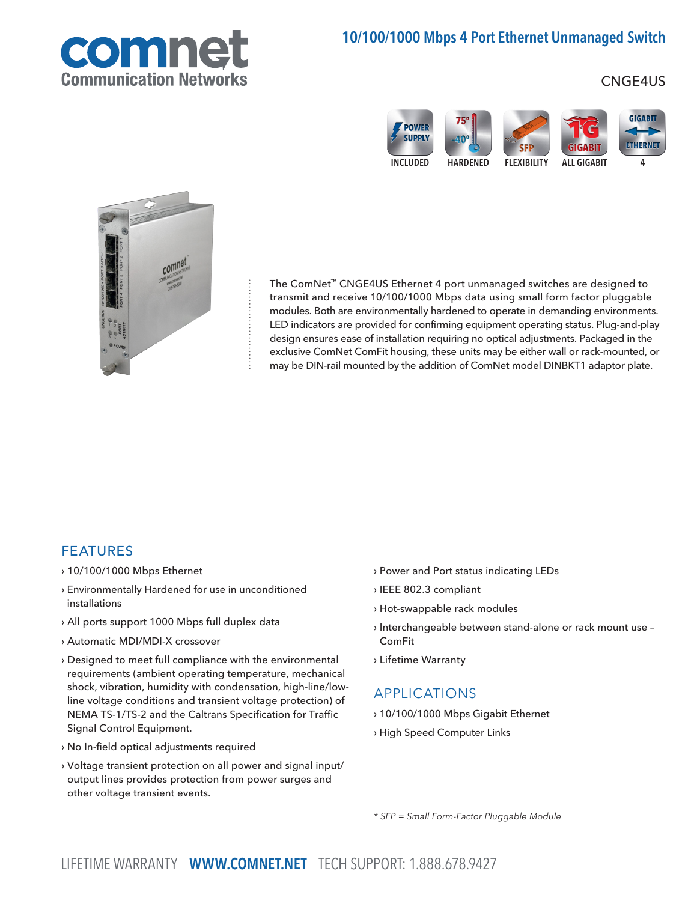

# 10/100/1000 Mbps 4 Port Ethernet Unmanaged Switch

## CNGE4US





The ComNet™ CNGE4US Ethernet 4 port unmanaged switches are designed to transmit and receive 10/100/1000 Mbps data using small form factor pluggable modules. Both are environmentally hardened to operate in demanding environments. LED indicators are provided for confirming equipment operating status. Plug-and-play design ensures ease of installation requiring no optical adjustments. Packaged in the exclusive ComNet ComFit housing, these units may be either wall or rack-mounted, or may be DIN-rail mounted by the addition of ComNet model DINBKT1 adaptor plate.

### FEATURES

- › 10/100/1000 Mbps Ethernet
- › Environmentally Hardened for use in unconditioned installations
- › All ports support 1000 Mbps full duplex data
- › Automatic MDI/MDI-X crossover
- › Designed to meet full compliance with the environmental requirements (ambient operating temperature, mechanical shock, vibration, humidity with condensation, high-line/lowline voltage conditions and transient voltage protection) of NEMA TS-1/TS-2 and the Caltrans Specification for Traffic Signal Control Equipment.
- › No In-field optical adjustments required
- › Voltage transient protection on all power and signal input/ output lines provides protection from power surges and other voltage transient events.
- › Power and Port status indicating LEDs
- › IEEE 802.3 compliant
- › Hot-swappable rack modules
- › Interchangeable between stand-alone or rack mount use ComFit
- › Lifetime Warranty

### APPLICATIONS

- › 10/100/1000 Mbps Gigabit Ethernet
- › High Speed Computer Links

\* SFP = Small Form-Factor Pluggable Module